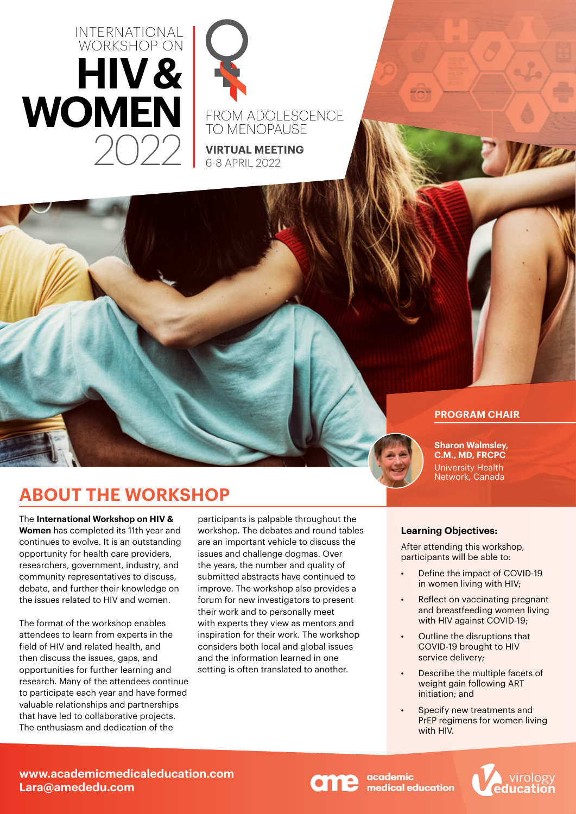



FROM ADOLESCENCE TO MENOPAUSE

**VIRTUAL MEETING** 6-8 APRIL 2022

### **PROGRAM CHAIR**

137710

**Sharon Walmsley, C.M., MD, FRCPC** University Health Network, Canada

## **ABOUT THE WORKSHOP**

The **International Workshop on HIV & Women** has completed its 11th year and continues to evolve. It is an outstanding opportunity for health care providers, researchers, government, industry, and community representatives to discuss, debate, and further their knowledge on the issues related to HIV and women.

The format of the workshop enables attendees to learn from experts in the field of HIV and related health, and then discuss the issues, gaps, and opportunities for further learning and research. Many of the attendees continue to participate each year and have formed valuable relationships and partnerships that have led to collaborative projects. The enthusiasm and dedication of the

participants is palpable throughout the workshop. The debates and round tables are an important vehicle to discuss the issues and challenge dogmas. Over the years, the number and quality of submitted abstracts have continued to improve. The workshop also provides a forum for new investigators to present their work and to personally meet with experts they view as mentors and inspiration for their work. The workshop considers both local and global issues and the information learned in one setting is often translated to another.

#### **Learning Objectives:**

After attending this workshop, participants will be able to:

- Define the impact of COVID-19 in women living with HIV;
- Reflect on vaccinating pregnant and breastfeeding women living with HIV against COVID-19:
- Outline the disruptions that COVID-19 brought to HIV service delivery;
- Describe the multiple facets of weight gain following ART initiation; and
- Specify new treatments and PrEP regimens for women living with HIV.

academic medical education